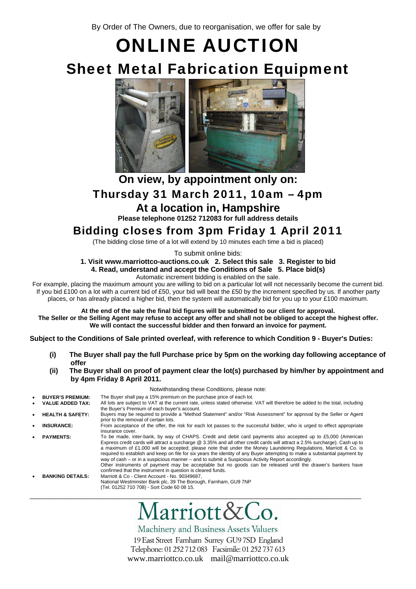By Order of The Owners, due to reorganisation, we offer for sale by

## ONLINE AUCTION Sheet Metal Fabrication Equipment



## **On view, by appointment only on:**  Thursday 31 March 2011, 10am – 4pm

**At a location in, Hampshire** 

**Please telephone 01252 712083 for full address details** 

## Bidding closes from 3pm Friday 1 April 2011

(The bidding close time of a lot will extend by 10 minutes each time a bid is placed)

To submit online bids:

**1. Visit www.marriottco-auctions.co.uk 2. Select this sale 3. Register to bid 4. Read, understand and accept the Conditions of Sale 5. Place bid(s)**  Automatic increment bidding is enabled on the sale.

For example, placing the maximum amount you are willing to bid on a particular lot will not necessarily become the current bid. If you bid £100 on a lot with a current bid of £50, your bid will beat the £50 by the increment specified by us. If another party places, or has already placed a higher bid, then the system will automatically bid for you up to your £100 maximum.

**At the end of the sale the final bid figures will be submitted to our client for approval. The Seller or the Selling Agent may refuse to accept any offer and shall not be obliged to accept the highest offer. We will contact the successful bidder and then forward an invoice for payment.**

**Subject to the Conditions of Sale printed overleaf, with reference to which Condition 9 - Buyer's Duties:** 

- **(i) The Buyer shall pay the full Purchase price by 5pm on the working day following acceptance of offer**
- **(ii) The Buyer shall on proof of payment clear the lot(s) purchased by him/her by appointment and by 4pm Friday 8 April 2011.**

#### Notwithstanding these Conditions, please note:

**BUYER'S PREMIUM:** The Buyer shall pay a 15% premium on the purchase price of each lot.<br>VALUE ADDED TAX: All lots are subject to VAT at the current rate, unless stated otherwise. All lots are subject to VAT at the current rate, unless stated otherwise. VAT will therefore be added to the total, including the Buyer's Premium of each buyer's account. • **HEALTH & SAFETY:** Buyers may be required to provide a "Method Statement" and/or "Risk Assessment" for approval by the Seller or Agent prior to the removal of certain lots. • **INSURANCE:** From acceptance of the offer, the risk for each lot passes to the successful bidder, who is urged to effect appropriate insurance cover. • **PAYMENTS:** To be made, inter-bank, by way of CHAPS. Credit and debit card payments also accepted up to £5,000 (American Express credit cards will attract a surcharge @ 3.35% and all other credit cards will attract a 2.5% surcharge). Cash up to a maximum of £1,000 will be accepted; please note that under the Money Laundering Regulations, Marriott & Co. is required to establish and keep on file for six years the identity of any Buyer attempting to make a substantial payment by way of cash – or in a suspicious manner – and to submit a Suspicious Activity Report accordingly. Other instruments of payment may be acceptable but no goods can be released until the drawer's bankers have confirmed that the instrument in question is cleared funds. • **BANKING DETAILS:** Marriott & Co - Client Account - No. 90349687, National Westminster Bank plc, 39 The Borough, Farnham, GU9 7NP (Tel. 01252 710 708) - Sort Code 60 08 15. \_\_\_\_\_\_\_\_\_\_\_\_\_\_\_\_\_\_\_\_\_\_\_\_\_\_\_\_\_\_\_\_\_\_\_\_\_\_\_\_\_\_\_\_\_\_\_\_\_\_\_\_\_\_\_\_\_\_\_\_\_\_\_\_\_\_\_\_\_\_\_\_\_\_\_\_\_\_\_

# larriott&Co.

Machinery and Business Assets Valuers 19 East Street Farnham Surrey GU97SD England Telephone: 01 252 712 083 Facsimile: 01 252 737 613 www.marriottco.co.uk mail@marriottco.co.uk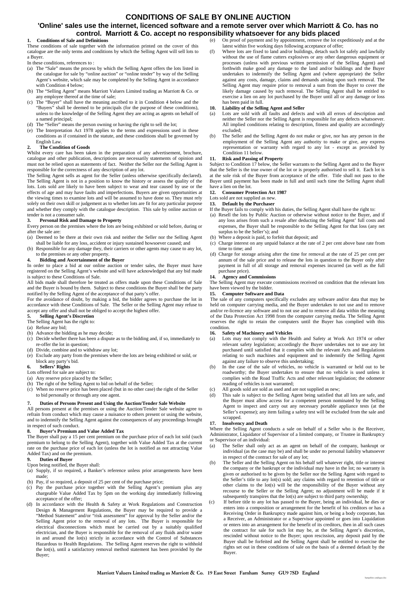## **CONDITIONS OF SALE BY ONLINE AUCTION**

### **'Online' sales use the internet, licenced software and a remote server over which Marriott & Co. has no control. Marriott & Co. accept no responsibility whatsoever for any bids placed**

#### **1. Conditions of Sale and Definitions**

These conditions of sale together with the information printed on the cover of this catalogue are the only terms and conditions by which the Selling Agent will sell lots to a Buyer.

- In these conditions, references to :
- (a) The "Sale" means the process by which the Selling Agent offers the lots listed in the catalogue for sale by "online auction" or "online tender" by way of the Selling Agent's website, which sale may be completed by the Selling Agent in accordance with Condition 4 below;
- (b) The "Selling Agent" means Marriott Valuers Limited trading as Marriott & Co. or any employee thereof at the time of sale;
- (c) The "Buyer" shall have the meaning ascribed to it in Condition 4 below and the "Buyers" shall be deemed to be principals (for the purpose of these conditions), unless to the knowledge of the Selling Agent they are acting as agents on behalf of a named principal;
- (d) The "Seller" means the person owning or having the right to sell the lot;
- (e) The Interpretation Act 1978 applies to the terms and expressions used in these conditions as if contained in the statute, and these conditions shall be governed by English Law.

#### **2. The Condition of Goods**

Whilst every care has been taken in the preparation of any advertisement, brochure, catalogue and other publication, descriptions are necessarily statements of opinion and must not be relied upon as statements of fact. Neither the Seller nor the Selling Agent is responsible for the correctness of any description of any lot.

The Selling Agent sells as agent for the Seller (unless otherwise specifically declared). The Selling Agent is not in a position to know the history or assess the quality of the lots. Lots sold are likely to have been subject to wear and tear caused by use or the effects of age and may have faults and imperfections. Buyers are given opportunities at the viewing times to examine lots and will be assumed to have done so. They must rely solely on their own skill or judgement as to whether lots are fit for any particular purpose and whether they comply with the catalogue description. This sale by online auction or tender is not a consumer sale.

#### **3. Personal Risk and Damage to Property**

Every person on the premises where the lots are being exhibited or sold before, during or after the sale are:

- (a) Deemed to be there at their own risk and neither the Seller nor the Selling Agent shall be liable for any loss, accident or injury sustained howsoever caused; and
- (b) Responsible for any damage they, their carriers or other agents may cause to any lot, to the premises or any other property.

#### **4. Bidding and Ascertainment of the Buyer**

In order to place a bid at our online auction or tender sales, the Buyer must have registered on the Selling Agent's website and will have acknowledged that any bid made is subject to these Conditions of Sale.

All bids made shall therefore be treated as offers made upon these Conditions of Sale and the Buyer is bound by them. Subject to these conditions the Buyer shall be the party notified by the Selling Agent of the acceptance of that party's offer.

For the avoidance of doubt, by making a bid, the bidder agrees to purchase the lot in accordance with these Conditions of Sale. The Seller or the Selling Agent may refuse to accept any offer and shall not be obliged to accept the highest offer.

#### **5. Selling Agent's Discretion**

The Selling Agent has the right to:

- (a) Refuse any bid;
- (b) Advance the bidding as he may decide;
- (c) Decide whether there has been a dispute as to the bidding and, if so, immediately to re-offer the lot in question;
- (d) Divide, combine and to withdraw any lot;
- (e) Exclude any party from the premises where the lots are being exhibited or sold, or block any party's bid.

#### **6. Sellers' Rights**

- Lots offered for sale are subject to:
- (a) Any reserve price placed by the Seller;
- (b) The right of the Selling Agent to bid on behalf of the Seller;
- (c) When no reserve price has been placed (but in no other case) the right of the Seller to bid personally or through any one agent.

#### **7. Duties of Persons Present and Using the Auction/Tender Sale Website**

All persons present at the premises or using the Auction/Tender Sale website agree to refrain from conduct which may cause a nuisance to others present or using the website, and to indemnify the Selling Agent against the consequences of any proceedings brought in respect of such conduct.

#### **8. Buyer's Premium and Value Added Tax**

The Buyer shall pay a 15 per cent premium on the purchase price of each lot sold (such premium to belong to the Selling Agent), together with Value Added Tax at the current rate on the purchase price of each lot (unless the lot is notified as not attracting Value Added Tax) and on the premium.

#### **9. Duties of Buyer** Upon being notified, the Buyer shall:

- 
- (a) Supply, if so required, a Banker's reference unless prior arrangements have been made;
- (b) Pay, if so required, a deposit of 25 per cent of the purchase price;
- (c) Pay the purchase price together with the Selling Agent's premium plus any chargeable Value Added Tax by 5pm on the working day immediately following acceptance of the offer;
- (d) In accordance with the Health & Safety at Work Regulations and Construction Design & Management Regulations, the Buyer may be required to provide a "Method Statement" and/or "risk assessment" for approval by the Seller and/or the Selling Agent prior to the removal of any lots. The Buyer is responsible for electrical disconnections which must be carried out by a suitably qualified electrician, and the Buyer is responsible for the removal of any fluids and/or waste in and around the lot(s) strictly in accordance with the Control of Substances Hazardous to Health Regulations. The Selling Agent reserves the right to withhold the lot(s), until a satisfactory removal method statement has been provided by the Buyer;

(e) On proof of payment and by appointment, remove the lot expeditiously and at the latest within five working days following acceptance of offer;

(f) Where lots are fixed to land and/or buildings, detach such lot safely and lawfully without the use of flame cutters explosives or any other dangerous equipment or processes (unless with previous written permission of the Selling Agent) and forthwith make good any damage to the land and/or buildings and the Buyer undertakes to indemnify the Selling Agent and (where appropriate) the Seller against any costs, damage, claims and demands arising upon such removal. The Selling Agent may require prior to removal a sum from the Buyer to cover the likely damage caused by such removal. The Selling Agent shall be entitled to exercise a lien on any lot purchased by the Buyer until all or any damage or loss has been paid in full.

#### **10. Liability of the Selling Agent and Seller**

- (a) Lots are sold with all faults and defects and with all errors of description and neither the Seller nor the Selling Agent is responsible for any defects whatsoever. All implied conditions relating to description, fitness and quality are accordingly excluded;
- (b) The Seller and the Selling Agent do not make or give, nor has any person in the employment of the Selling Agent any authority to make or give, any express representation or warranty with regard to any lot - except as provided by Condition 11 below.

#### **Risk and Passing of Property**

Subject to Condition 17 below, the Seller warrants to the Selling Agent and to the Buyer that the Seller is the true owner of the lot or is properly authorised to sell it. Each lot is at the sole risk of the Buyer from acceptance of the offer. Title shall not pass to the Buyer until payment has been made in full and until such time the Selling Agent shall have a lien on the lot.

#### **12. Consumer Protection Act 1987**

#### Lots sold are not supplied as new.

**13. Default by the Purchaser** If the Buyer fails to comply with his duties, the Selling Agent shall have the right to:

- (a) Resell the lots by Public Auction or otherwise without notice to the Buyer, and if any loss arises from such a resale after deducting the Selling Agent' full costs and expenses, the Buyer shall be responsible to the Selling Agent for that loss (any net surplus to be the Seller's); and
- (b) Where a deposit is paid, to forfeit that deposit; and
- (c) Charge interest on any unpaid balance at the rate of 2 per cent above base rate from time to time; and
- (d) Charge for storage arising after the time for removal at the rate of 25 per cent per annum of the sale price and to release the lots in question to the Buyer only after payment in full of all storage and removal expenses incurred (as well as the full purchase price).

#### **14. Agency and Commissions**

The Selling Agent may execute commissions received on condition that the relevant lots have been viewed by the bidder.

#### **15. Computer Software and Data**

The sale of any computers specifically excludes any software and/or data that may be held on computer carrying media, and the Buyer undertakes to not use and to remove and/or re-licence any software and to not use and to remove all data within the meaning of the Data Protection Act 1998 from the computer carrying media. The Selling Agent reserves the right to retain the computers until the Buyer has complied with this condition.

#### **16. Safety of Machinery and Vehicles**

- (a) Lots may not comply with the Health and Safety at Work Act 1974 or other relevant safety legislation; accordingly the Buyer undertakes not to use any lot purchased until satisfied that it complies with the relevant Acts and Regulations relating to such machines and equipment and to indemnify the Selling Agent against any failure to observe this undertaking;
- (b) In the case of the sale of vehicles, no vehicle is warranted or held out to be roadworthy; the Buyer undertakes to ensure that no vehicle is used unless it complies with the Road Traffic Acts and other relevant legislation; the odometer reading of vehicles is not warranted;
- All goods sold are sold as used and are not supplied as new;
- (d) This sale is subject to the Selling Agent being satisfied that all lots are safe, and the Buyer must allow access for a competent person nominated by the Selling Agent to inspect and carry out any necessary portable appliance tests (at the Seller's expense); any item failing a safety test will be excluded from the sale and scrapped.

#### **17. Insolvency and Death**

Where the Selling Agent conducts a sale on behalf of a Seller who is the Receiver, Administrator, Liquidator of Supervisor of a limited company, or Trustee in Bankruptcy or Supervisor of an individual:

- (a) The Seller shall only act as an agent on behalf of the company, bankrupt or individual (as the case may be) and shall be under no personal liability whatsoever in respect of the contract for sale of any lot;
- The Seller and the Selling Agent on his behalf sell whatever right, title or interest the company or the bankrupt or the individual may have in the lot; no warranty is given or authorised to be given by the Seller nor the Selling Agent with regard to the Seller's title to any lot(s) sold; any claims with regard to retention of title or other claims to the lot(s) will be the responsibility of the Buyer without any recourse to the Seller or the Selling Agent; no adjustment will be made if it subsequently transpires that the lot(s) are subject to third party ownership;
- If before title to any lot has passed to the Buyer, being an individual, he dies or enters into a composition or arrangement for the benefit of his creditors or has a Receiving Order in Bankruptcy made against him, or being a body corporate, has a Receiver, an Administrator or a Supervisor appointed or goes into Liquidation or enters into an arrangement for the benefit of its creditors, then in all such cases the contract for sale for such lot may be, at the Selling Agent's discretion, rescinded without notice to the Buyer; upon rescission, any deposit paid by the Buyer shall be forfeited and the Selling Agent shall be entitled to exercise the rights set out in these conditions of sale on the basis of a deemed default by the Buyer.

hampshire catalogue.doc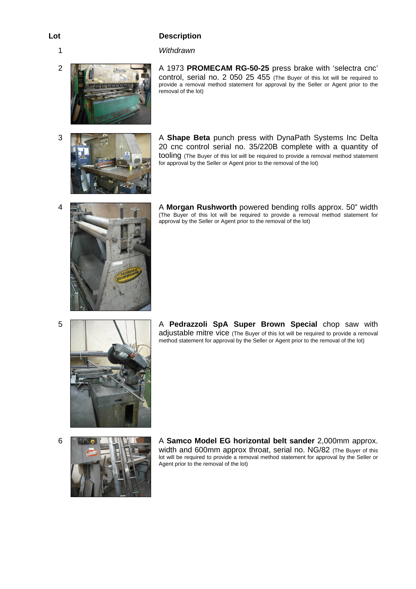## 1 *Withdrawn*



2 A 1973 **PROMECAM RG-50-25** press brake with 'selectra cnc' control, serial no. 2 050 25 455 (The Buyer of this lot will be required to provide a removal method statement for approval by the Seller or Agent prior to the removal of the lot)



3 A **Shape Beta** punch press with DynaPath Systems Inc Delta 20 cnc control serial no. 35/220B complete with a quantity of tooling (The Buyer of this lot will be required to provide a removal method statement for approval by the Seller or Agent prior to the removal of the lot)



4 A **Morgan Rushworth** powered bending rolls approx. 50" width (The Buyer of this lot will be required to provide a removal method statement for approval by the Seller or Agent prior to the removal of the lot)



5 **A Pedrazzoli SpA Super Brown Special** chop saw with adjustable mitre vice (The Buyer of this lot will be required to provide a removal method statement for approval by the Seller or Agent prior to the removal of the lot)



6 A **Samco Model EG horizontal belt sander** 2,000mm approx. width and 600mm approx throat, serial no. NG/82 (The Buyer of this lot will be required to provide a removal method statement for approval by the Seller or Agent prior to the removal of the lot)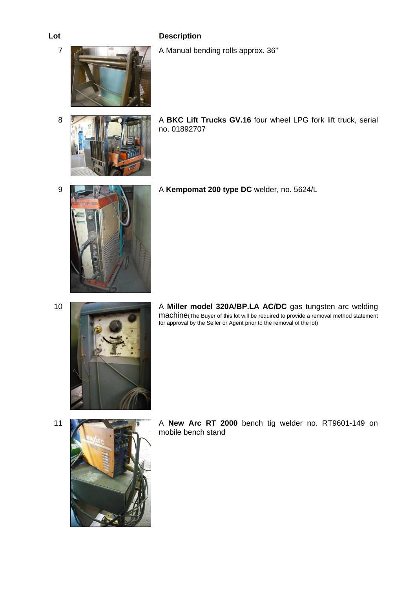7 **A Manual bending rolls approx.** 36"





- **8 A BKC Lift Trucks GV.16** four wheel LPG fork lift truck, serial no. 01892707
- 9 A **Kempomat 200 type DC** welder, no. 5624/L





11 **A New Arc RT 2000** bench tig welder no. RT9601-149 on mobile bench stand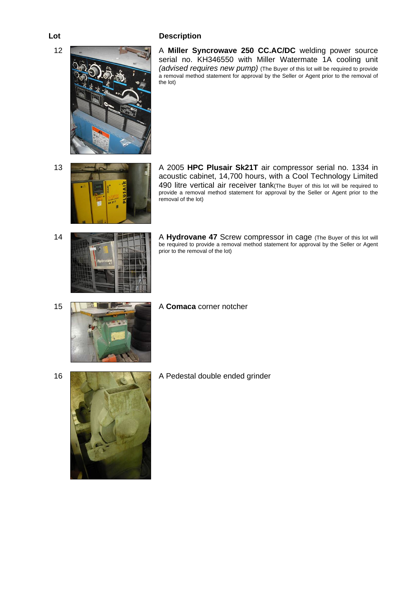12 **A Miller Syncrowave 250 CC.AC/DC** welding power source serial no. KH346550 with Miller Watermate 1A cooling unit *(advised requires new pump)* (The Buyer of this lot will be required to provide a removal method statement for approval by the Seller or Agent prior to the removal of the lot)



13 **A 2005 HPC Plusair Sk21T** air compressor serial no. 1334 in acoustic cabinet, 14,700 hours, with a Cool Technology Limited 490 litre vertical air receiver tank(The Buyer of this lot will be required to provide a removal method statement for approval by the Seller or Agent prior to the removal of the lot)



14 **A Hydrovane 47** Screw compressor in cage (The Buyer of this lot will be required to provide a removal method statement for approval by the Seller or Agent prior to the removal of the lot)



16 **A Pedestal double ended grinder** A Pedestal double ended grinder



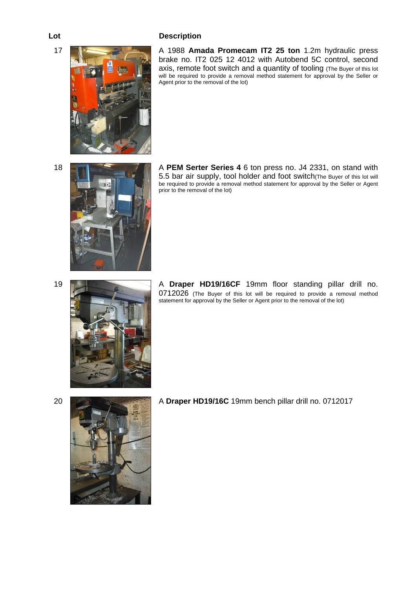17 **A 1988 Amada Promecam IT2 25 ton** 1.2m hydraulic press brake no. IT2 025 12 4012 with Autobend 5C control, second axis, remote foot switch and a quantity of tooling (The Buyer of this lot will be required to provide a removal method statement for approval by the Seller or Agent prior to the removal of the lot)



18 A **PEM Serter Series 4** 6 ton press no. J4 2331, on stand with 5.5 bar air supply, tool holder and foot switch(The Buyer of this lot will be required to provide a removal method statement for approval by the Seller or Agent prior to the removal of the lot)



19 **A Draper HD19/16CF** 19mm floor standing pillar drill no. 0712026 (The Buyer of this lot will be required to provide a removal method statement for approval by the Seller or Agent prior to the removal of the lot)



20 A **Draper HD19/16C** 19mm bench pillar drill no. 0712017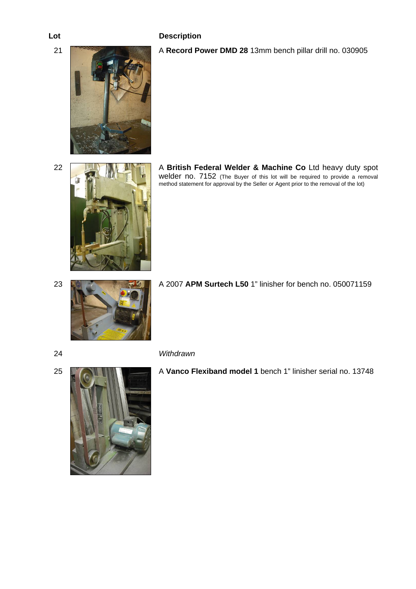21 A **Record Power DMD 28** 13mm bench pillar drill no. 030905



22 **A British Federal Welder & Machine Co** Ltd heavy duty spot welder no. 7152 (The Buyer of this lot will be required to provide a removal method statement for approval by the Seller or Agent prior to the removal of the lot)



23 A 2007 **APM Surtech L50** 1" linisher for bench no. 050071159





25 A **Vanco Flexiband model 1** bench 1" linisher serial no. 13748

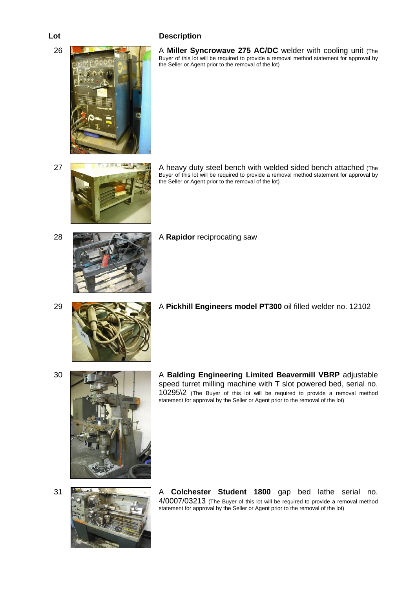26 **A <b>Miller Syncrowave 275 AC/DC** welder with cooling unit (The Buyer of this lot will be required to provide a removal method statement for approval by the Seller or Agent prior to the removal of the lot)



27 **A heavy duty steel bench with welded sided bench attached** (The Buyer of this lot will be required to provide a removal method statement for approval by the Seller or Agent prior to the removal of the lot)



28 **A Rapidor reciprocating saw** 

29 A **Pickhill Engineers model PT300** oil filled welder no. 12102

30 A **Balding Engineering Limited Beavermill VBRP** adjustable speed turret milling machine with T slot powered bed, serial no. 10295\2 (The Buyer of this lot will be required to provide a removal method statement for approval by the Seller or Agent prior to the removal of the lot)



31 A **Colchester Student 1800** gap bed lathe serial no. 4/0007/03213 (The Buyer of this lot will be required to provide a removal method statement for approval by the Seller or Agent prior to the removal of the lot)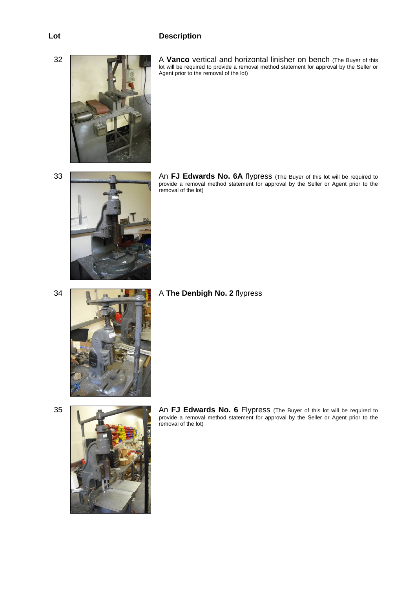

32 **A Vanco** vertical and horizontal linisher on bench (The Buyer of this lot will be required to provide a removal method statement for approval by the Seller or Agent prior to the removal of the lot)



33 An **FJ Edwards No. 6A** flypress (The Buyer of this lot will be required to provide a removal method statement for approval by the Seller or Agent prior to the removal of the lot)



34 **A The Denbigh No. 2** flypress



35 **An FJ Edwards No. 6** Flypress (The Buyer of this lot will be required to provide a removal method statement for approval by the Seller or Agent prior to the removal of the lot)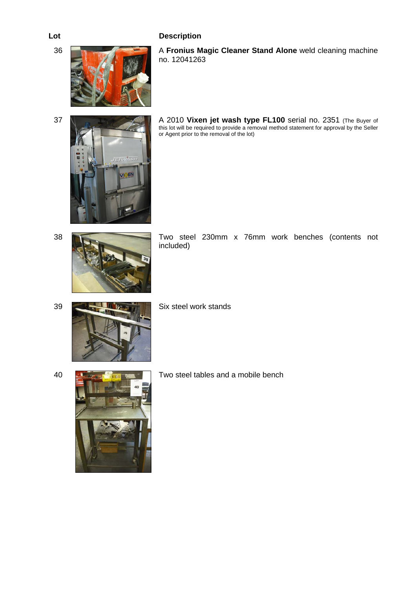

36 A **Fronius Magic Cleaner Stand Alone** weld cleaning machine no. 12041263





37 A 2010 **Vixen jet wash type FL100** serial no. 2351 (The Buyer of this lot will be required to provide a removal method statement for approval by the Seller or Agent prior to the removal of the lot)





38 Two steel 230mm x 76mm work benches (contents not included)

39 **Six steel work stands** 

40 **Two steel tables and a mobile bench** Two steel tables and a mobile bench

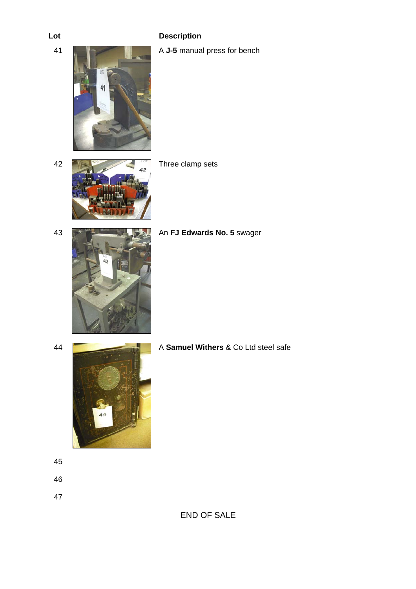

42



Three clamp sets



## 43 **An FJ Edwards No. 5** swager



44 A **Samuel Withers** & Co Ltd steel safe

45

46

47

END OF SALE